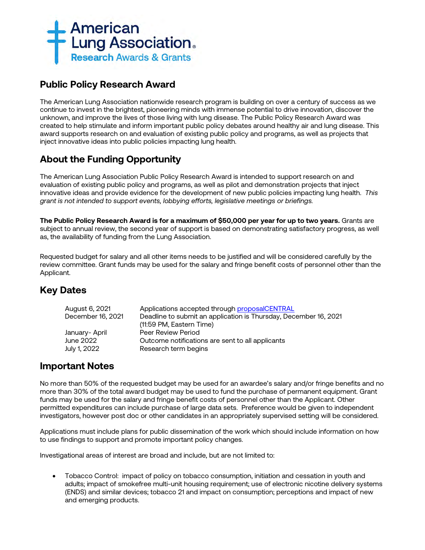

## **Public Policy Research Award**

The American Lung Association nationwide research program is building on over a century of success as we continue to invest in the brightest, pioneering minds with immense potential to drive innovation, discover the unknown, and improve the lives of those living with lung disease. The Public Policy Research Award was created to help stimulate and inform important public policy debates around healthy air and lung disease. This award supports research on and evaluation of existing public policy and programs, as well as projects that inject innovative ideas into public policies impacting lung health.

# **About the Funding Opportunity**

The American Lung Association Public Policy Research Award is intended to support research on and evaluation of existing public policy and programs, as well as pilot and demonstration projects that inject innovative ideas and provide evidence for the development of new public policies impacting lung health. *This grant is not intended to support events, lobbying efforts, legislative meetings or briefings.*

**The Public Policy Research Award is for a maximum of \$50,000 per year for up to two years.** Grants are subject to annual review, the second year of support is based on demonstrating satisfactory progress, as well as, the availability of funding from the Lung Association.

Requested budget for salary and all other items needs to be justified and will be considered carefully by the review committee. Grant funds may be used for the salary and fringe benefit costs of personnel other than the Applicant.

# **Key Dates**

| August 6, 2021    | Applications accepted through proposalCENTRAL                    |
|-------------------|------------------------------------------------------------------|
| December 16, 2021 | Deadline to submit an application is Thursday, December 16, 2021 |
|                   | (11:59 PM, Eastern Time)                                         |
| January- April    | Peer Review Period                                               |
| June 2022         | Outcome notifications are sent to all applicants                 |
| July 1, 2022      | Research term begins                                             |
|                   |                                                                  |

## **Important Notes**

No more than 50% of the requested budget may be used for an awardee's salary and/or fringe benefits and no more than 30% of the total award budget may be used to fund the purchase of permanent equipment. Grant funds may be used for the salary and fringe benefit costs of personnel other than the Applicant. Other permitted expenditures can include purchase of large data sets. Preference would be given to independent investigators, however post doc or other candidates in an appropriately supervised setting will be considered.

Applications must include plans for public dissemination of the work which should include information on how to use findings to support and promote important policy changes.

Investigational areas of interest are broad and include, but are not limited to:

• Tobacco Control: impact of policy on tobacco consumption, initiation and cessation in youth and adults; impact of smokefree multi-unit housing requirement; use of electronic nicotine delivery systems (ENDS) and similar devices; tobacco 21 and impact on consumption; perceptions and impact of new and emerging products.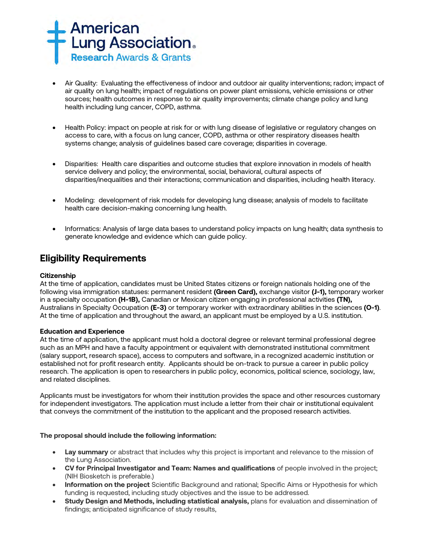

- Air Quality: Evaluating the effectiveness of indoor and outdoor air quality interventions; radon; impact of air quality on lung health; impact of regulations on power plant emissions, vehicle emissions or other sources; health outcomes in response to air quality improvements; climate change policy and lung health including lung cancer, COPD, asthma.
- Health Policy: impact on people at risk for or with lung disease of legislative or regulatory changes on access to care, with a focus on lung cancer, COPD, asthma or other respiratory diseases health systems change; analysis of guidelines based care coverage; disparities in coverage.
- Disparities: Health care disparities and outcome studies that explore innovation in models of health service delivery and policy; the environmental, social, behavioral, cultural aspects of disparities/inequalities and their interactions; communication and disparities, including health literacy.
- Modeling: development of risk models for developing lung disease; analysis of models to facilitate health care decision-making concerning lung health.
- Informatics: Analysis of large data bases to understand policy impacts on lung health; data synthesis to generate knowledge and evidence which can guide policy.

## **Eligibility Requirements**

## **Citizenship**

At the time of application, candidates must be United States citizens or foreign nationals holding one of the following visa immigration statuses: permanent resident **(Green Card),** exchange visitor **(J-1),** temporary worker in a specialty occupation **(H-1B),** Canadian or Mexican citizen engaging in professional activities **(TN),** Australians in Specialty Occupation **(E-3)** or temporary worker with extraordinary abilities in the sciences **(O-1)**. At the time of application and throughout the award, an applicant must be employed by a U.S. institution.

## **Education and Experience**

At the time of application, the applicant must hold a doctoral degree or relevant terminal professional degree such as an MPH and have a faculty appointment or equivalent with demonstrated institutional commitment (salary support, research space), access to computers and software, in a recognized academic institution or established not for profit research entity. Applicants should be on-track to pursue a career in public policy research. The application is open to researchers in public policy, economics, political science, sociology, law, and related disciplines.

Applicants must be investigators for whom their institution provides the space and other resources customary for independent investigators. The application must include a letter from their chair or institutional equivalent that conveys the commitment of the institution to the applicant and the proposed research activities.

## **The proposal should include the following information:**

- **Lay summary** or abstract that includes why this project is important and relevance to the mission of the Lung Association.
- **CV for Principal Investigator and Team: Names and qualifications** of people involved in the project; (NIH Biosketch is preferable.)
- **Information on the project** Scientific Background and rational; Specific Aims or Hypothesis for which funding is requested, including study objectives and the issue to be addressed.
- **Study Design and Methods, including statistical analysis,** plans for evaluation and dissemination of findings; anticipated significance of study results,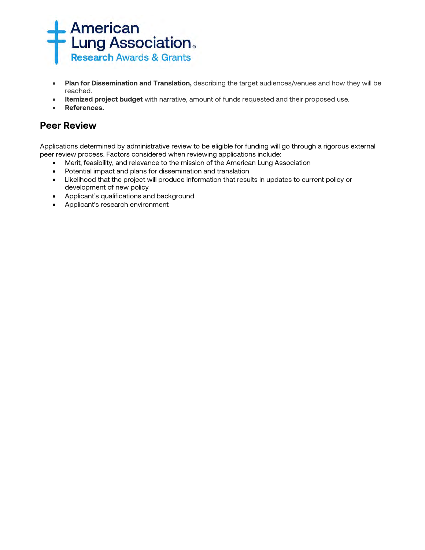

- **Plan for Dissemination and Translation,** describing the target audiences/venues and how they will be reached.
- **Itemized project budget** with narrative, amount of funds requested and their proposed use.
- **References.**

## **Peer Review**

Applications determined by administrative review to be eligible for funding will go through a rigorous external peer review process. Factors considered when reviewing applications include:

- Merit, feasibility, and relevance to the mission of the American Lung Association
- Potential impact and plans for dissemination and translation
- Likelihood that the project will produce information that results in updates to current policy or development of new policy
- Applicant's qualifications and background
- Applicant's research environment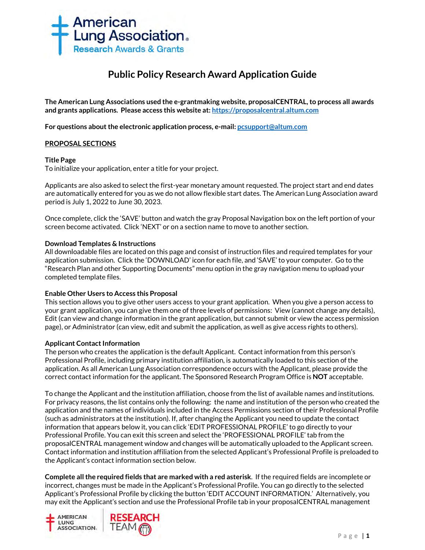

# **Public Policy Research Award Application Guide**

**The American Lung Associations used the e-grantmaking website, proposalCENTRAL, to process all awards and grants applications. Please access this website at[: https://proposalcentral.altum.com](https://proposalcentral.altum.com/)**

**For questions about the electronic application process, e-mail[: pcsupport@altum.com](mailto:PCSUPPORT@ALTUM.COM)** 

## **PROPOSAL SECTIONS**

## **Title Page**

To initialize your application, enter a title for your project.

Applicants are also asked to select the first-year monetary amount requested. The project start and end dates are automatically entered for you as we do not allow flexible start dates. The American Lung Association award period is July 1, 2022 to June 30, 2023.

Once complete, click the 'SAVE' button and watch the gray Proposal Navigation box on the left portion of your screen become activated. Click 'NEXT' or on a section name to move to another section.

## **Download Templates & Instructions**

All downloadable files are located on this page and consist of instruction files and required templates for your application submission. Click the 'DOWNLOAD' icon for each file, and 'SAVE' to your computer*.* Go to the "Research Plan and other Supporting Documents" menu option in the gray navigation menu to upload your completed template files.

## **Enable Other Users to Access this Proposal**

This section allows you to give other users access to your grant application. When you give a person access to your grant application, you can give them one of three levels of permissions: View (cannot change any details), Edit (can view and change information in the grant application, but cannot submit or view the access permission page), or Administrator (can view, edit and submit the application, as well as give access rights to others).

## **Applicant Contact Information**

The person who creates the application is the default Applicant. Contact information from this person's Professional Profile, including primary institution affiliation, is automatically loaded to this section of the application. As all American Lung Association correspondence occurs with the Applicant, please provide the correct contact information for the applicant. The Sponsored Research Program Office is **NOT** acceptable.

To change the Applicant and the institution affiliation, choose from the list of available names and institutions. For privacy reasons, the list contains only the following: the name and institution of the person who created the application and the names of individuals included in the Access Permissions section of their Professional Profile (such as administrators at the institution). If, after changing the Applicant you need to update the contact information that appears below it, you can click 'EDIT PROFESSIONAL PROFILE' to go directly to your Professional Profile. You can exit this screen and select the 'PROFESSIONAL PROFILE' tab from the proposalCENTRAL management window and changes will be automatically uploaded to the Applicant screen. Contact information and institution affiliation from the selected Applicant's Professional Profile is preloaded to the Applicant's contact information section below.

**Complete all the required fields that are marked with a red asterisk**.If the required fields are incomplete or incorrect, changes must be made in the Applicant's Professional Profile. You can go directly to the selected Applicant's Professional Profile by clicking the button 'EDIT ACCOUNT INFORMATION.' Alternatively, you may exit the Applicant's section and use the Professional Profile tab in your proposalCENTRAL management

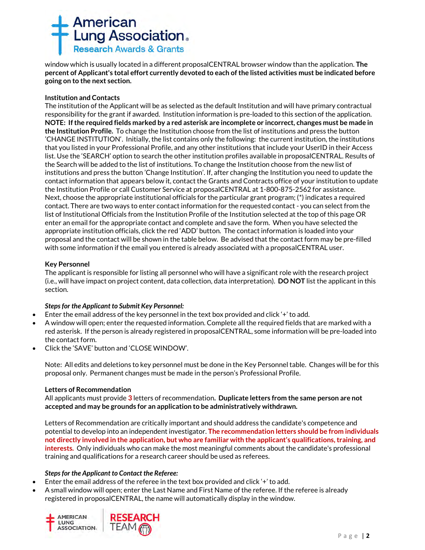

window which is usually located in a different proposalCENTRAL browser window than the application. **The percent of Applicant's total effort currently devoted to each of the listed activities must be indicated before going on to the next section.**

## **Institution and Contacts**

The institution of the Applicant will be as selected as the default Institution and will have primary contractual responsibility for the grant if awarded. Institution information is pre-loaded to this section of the application. **NOTE: If the required fields marked by a red asterisk are incomplete or incorrect, changes must be made in the Institution Profile.** To change the Institution choose from the list of institutions and press the button 'CHANGE INSTITUTION'. Initially, the list contains only the following: the current institution, the institutions that you listed in your Professional Profile, and any other institutions that include your UserID in their Access list. Use the 'SEARCH' option to search the other institution profiles available in proposalCENTRAL. Results of the Search will be added to the list of institutions. To change the Institution choose from the new list of institutions and press the button 'Change Institution'. If, after changing the Institution you need to update the contact information that appears below it, contact the Grants and Contracts office of your institution to update the Institution Profile or call Customer Service at proposalCENTRAL at 1-800-875-2562 for assistance. Next, choose the appropriate institutional officials for the particular grant program; (\*) indicates a required contact. There are two ways to enter contact information for the requested contact - you can select from the list of Institutional Officials from the Institution Profile of the Institution selected at the top of this page OR enter an email for the appropriate contact and complete and save the form. When you have selected the appropriate institution officials, click the red 'ADD' button. The contact information is loaded into your proposal and the contact will be shown in the table below. Be advised that the contact form may be pre-filled with some information if the email you entered is already associated with a proposalCENTRAL user.

## **Key Personnel**

The applicant is responsible for listing all personnel who will have a significant role with the research project (i.e., will have impact on project content, data collection, data interpretation). **DO NOT** list the applicant in this section.

## *Steps for the Applicant to Submit Key Personnel:*

- Enter the email address of the key personnel in the text box provided and click '+' to add.
- A window will open; enter the requested information. Complete all the required fields that are marked with a red asterisk. If the person is already registered in proposalCENTRAL, some information will be pre-loaded into the contact form.
- Click the 'SAVE' button and 'CLOSE WINDOW'.

Note: All edits and deletions to key personnel must be done in the Key Personnel table. Changes will be for this proposal only. Permanent changes must be made in the person's Professional Profile.

## **Letters of Recommendation**

All applicants must provide **3** letters of recommendation**. Duplicate letters from the same person are not accepted and may be grounds for an application to be administratively withdrawn.** 

Letters of Recommendation are critically important and should address the candidate's competence and potential to develop into an independent investigator. **The recommendation letters should be from individuals not directly involved in the application, but who are familiar with the applicant's qualifications, training, and interests.** Only individuals who can make the most meaningful comments about the candidate's professional training and qualifications for a research career should be used as referees.

## *Steps for the Applicant to Contact the Referee:*

- Enter the email address of the referee in the text box provided and click '+' to add.
- A small window will open; enter the Last Name and First Name of the referee. If the referee is already registered in proposalCENTRAL, the name will automatically display in the window.

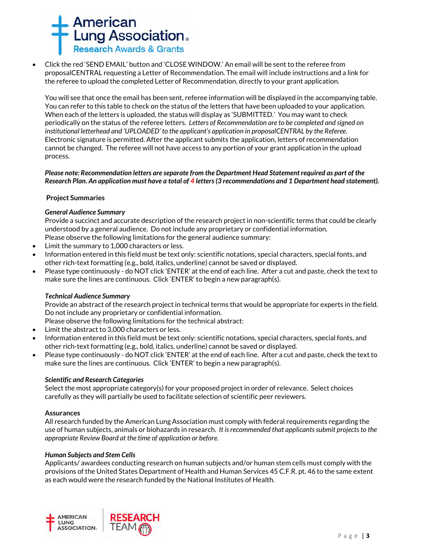

• Click the red 'SEND EMAIL' button and 'CLOSE WINDOW.' An email will be sent to the referee from proposalCENTRAL requesting a Letter of Recommendation. The email will include instructions and a link for the referee to upload the completed Letter of Recommendation, directly to your grant application.

You will see that once the email has been sent, referee information will be displayed in the accompanying table. You can refer to this table to check on the status of the letters that have been uploaded to your application. When each of the letters is uploaded, the status will display as 'SUBMITTED.' You may want to check periodically on the status of the referee letters. *Letters of Recommendation are to be completed and signed on institutional letterhead and 'UPLOADED' to the applicant's application in proposalCENTRAL by the Referee.* Electronic signature is permitted. After the applicant submits the application, letters of recommendation cannot be changed. The referee will not have access to any portion of your grant application in the upload process.

## *Please note: Recommendation letters are separate from the Department Head Statement required as part of the Research Plan. An application must have a total of 4 letters (3 recommendations and 1 Department head statement).*

## **Project Summaries**

## *General Audience Summary*

Provide a succinct and accurate description of the research project in non-scientific terms that could be clearly understood by a general audience. Do not include any proprietary or confidential information. Please observe the following limitations for the general audience summary:

- Limit the summary to 1,000 characters or less.
- Information entered in this field must be text only: scientific notations, special characters, special fonts, and other rich-text formatting (e.g., bold, italics, underline) cannot be saved or displayed.
- Please type continuously do NOT click 'ENTER' at the end of each line. After a cut and paste, check the text to make sure the lines are continuous. Click 'ENTER' to begin a new paragraph(s).

## *Technical Audience Summary*

Provide an abstract of the research project in technical terms that would be appropriate for experts in the field. Do not include any proprietary or confidential information.

Please observe the following limitations for the technical abstract:

- Limit the abstract to 3,000 characters or less.
- Information entered in this field must be text only: scientific notations, special characters, special fonts, and other rich-text formatting (e.g., bold, italics, underline) cannot be saved or displayed.
- Please type continuously do NOT click 'ENTER' at the end of each line. After a cut and paste, check the text to make sure the lines are continuous. Click 'ENTER' to begin a new paragraph(s).

## *Scientific and Research Categories*

Select the most appropriate category(s) for your proposed project in order of relevance. Select choices carefully as they will partially be used to facilitate selection of scientific peer reviewers.

## **Assurances**

All research funded by the American Lung Association must comply with federal requirements regarding the use of human subjects, animals or biohazards in research. *It is recommended that applicants submit projects to the appropriate Review Board at the time of application or before.* 

## *Human Subjects and Stem Cells*

Applicants/ awardees conducting research on human subjects and/or human stem cells must comply with the provisions of the United States Department of Health and Human Services 45 C.F.R. pt. 46 to the same extent as each would were the research funded by the National Institutes of Health.

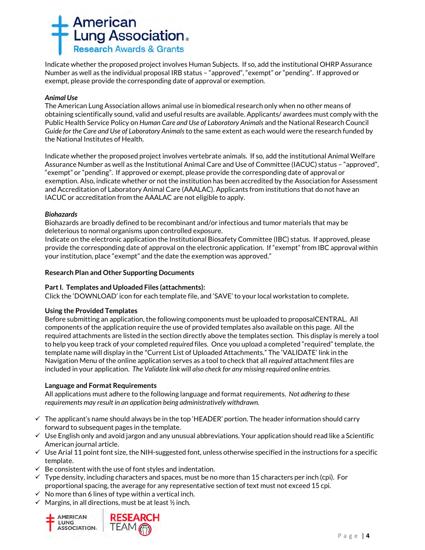

Indicate whether the proposed project involves Human Subjects. If so, add the institutional OHRP Assurance Number as well as the individual proposal IRB status – "approved", "exempt" or "pending". If approved or exempt, please provide the corresponding date of approval or exemption.

## *Animal Use*

The American Lung Association allows animal use in biomedical research only when no other means of obtaining scientifically sound, valid and useful results are available. Applicants/ awardees must comply with the Public Health Service Policy on *Human Care and Use of Laboratory Animals* and the National Research Council *Guide for the Care and Use of Laboratory Animals* to the same extent as each would were the research funded by the National Institutes of Health.

Indicate whether the proposed project involves vertebrate animals. If so, add the institutional Animal Welfare Assurance Number as well as the Institutional Animal Care and Use of Committee (IACUC) status – "approved", "exempt" or "pending". If approved or exempt, please provide the corresponding date of approval or exemption. Also, indicate whether or not the institution has been accredited by the Association for Assessment and Accreditation of Laboratory Animal Care (AAALAC). Applicants from institutions that do not have an IACUC or accreditation from the AAALAC are not eligible to apply.

## *Biohazards*

Biohazards are broadly defined to be recombinant and/or infectious and tumor materials that may be deleterious to normal organisms upon controlled exposure.

Indicate on the electronic application the Institutional Biosafety Committee (IBC) status. If approved, please provide the corresponding date of approval on the electronic application. If "exempt" from IBC approval within your institution, place "exempt" and the date the exemption was approved."

## **Research Plan and Other Supporting Documents**

## **Part I. Templates and Uploaded Files (attachments):**

Click the 'DOWNLOAD' icon for each template file, and 'SAVE' to your local workstation to complete**.**

## **Using the Provided Templates**

Before submitting an application, the following components must be uploaded to proposalCENTRAL. All components of the application require the use of provided templates also available on this page. All the required attachments are listed in the section directly above the templates section. This display is merely a tool to help you keep track of your completed *required* files. Once you upload a completed "required" template, the template name will display in the "Current List of Uploaded Attachments." The 'VALIDATE' link in the Navigation Menu of the online application serves as a tool to check that all *required* attachment files are included in your application. *The Validate link will also check for any missing required online entries.*

## **Language and Format Requirements**

All applications must adhere to the following language and format requirements. *Not adhering to these requirements may result in an application being administratively withdrawn.*

- $\checkmark$  The applicant's name should always be in the top 'HEADER' portion. The header information should carry forward to subsequent pages in the template.
- $\checkmark$  Use English only and avoid jargon and any unusual abbreviations. Your application should read like a Scientific American journal article.
- $\checkmark$  Use Arial 11 point font size, the NIH-suggested font, unless otherwise specified in the instructions for a specific template.
- $\checkmark$  Be consistent with the use of font styles and indentation.
- $\checkmark$  Type density, including characters and spaces, must be no more than 15 characters per inch (cpi). For proportional spacing, the average for any representative section of text must not exceed 15 cpi.
- $\checkmark$  No more than 6 lines of type within a vertical inch.
- $\checkmark$  Margins, in all directions, must be at least  $\frac{1}{2}$  inch.

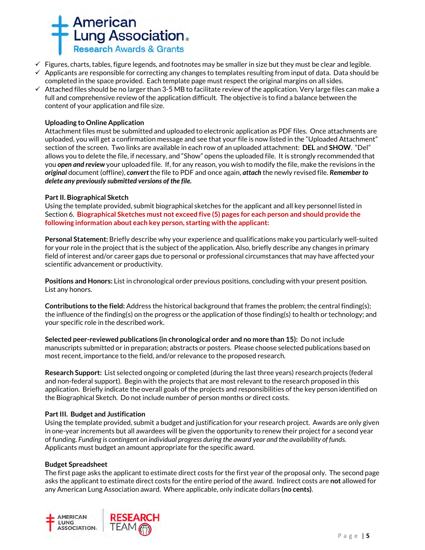

- $\checkmark$  Figures, charts, tables, figure legends, and footnotes may be smaller in size but they must be clear and legible.  $\checkmark$  Applicants are responsible for correcting any changes to templates resulting from input of data. Data should be completed in the space provided. Each template page must respect the original margins on all sides.
- $\checkmark$  Attached files should be no larger than 3-5 MB to facilitate review of the application. Very large files can make a full and comprehensive review of the application difficult. The objective is to find a balance between the content of your application and file size.

## **Uploading to Online Application**

Attachment files must be submitted and uploaded to electronic application as PDF files. Once attachments are uploaded, you will get a confirmation message and see that your file is now listed in the "Uploaded Attachment" section of the screen. Two links are available in each row of an uploaded attachment: **DEL** and **SHOW**. "Del" allows you to delete the file, if necessary, and "Show" opens the uploaded file. It is strongly recommended that you *open and review* your uploaded file. If, for any reason, you wish to modify the file, make the revisions in the *original* document (offline), *convert* the file to PDF and once again, *attach* the newly revised file. *Remember to delete any previously submitted versions of the file.*

## **Part II. Biographical Sketch**

Using the template provided, submit biographical sketches for the applicant and all key personnel listed in Section 6. **Biographical Sketches must not exceed five (5) pages for each person and should provide the following information about each key person, starting with the applicant:**

**Personal Statement:** Briefly describe why your experience and qualifications make you particularly well-suited for your role in the project that is the subject of the application. Also, briefly describe any changes in primary field of interest and/or career gaps due to personal or professional circumstances that may have affected your scientific advancement or productivity.

**Positions and Honors:** List in chronological order previous positions, concluding with your present position. List any honors.

**Contributions to the field:** Address the historical background that frames the problem; the central finding(s); the influence of the finding(s) on the progress or the application of those finding(s) to health or technology; and your specific role in the described work.

**Selected peer-reviewed publications (in chronological order and no more than 15):** Do not include manuscripts submitted or in preparation; abstracts or posters. Please choose selected publications based on most recent, importance to the field, and/or relevance to the proposed research.

**Research Support:** List selected ongoing or completed (during the last three years) research projects (federal and non-federal support). Begin with the projects that are most relevant to the research proposed in this application. Briefly indicate the overall goals of the projects and responsibilities of the key person identified on the Biographical Sketch. Do not include number of person months or direct costs.

## **Part III. Budget and Justification**

Using the template provided, submit a budget and justification for your research project. Awards are only given in one-year increments but all awardees will be given the opportunity to renew their project for a second year of funding. *Funding is contingent on individual progress during the award year and the availability of funds.* Applicants must budget an amount appropriate for the specific award.

## **Budget Spreadsheet**

The first page asks the applicant to estimate direct costs for the first year of the proposal only. The second page asks the applicant to estimate direct costs for the entire period of the award. Indirect costs are **not** allowed for any American Lung Association award. Where applicable, only indicate dollars **(no cents)**.

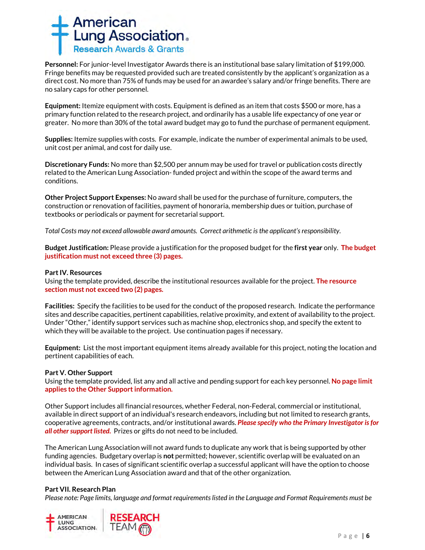

**Personnel:** For junior-level Investigator Awards there is an institutional base salary limitation of \$199,000. Fringe benefits may be requested provided such are treated consistently by the applicant's organization as a direct cost. No more than 75% of funds may be used for an awardee's salary and/or fringe benefits. There are no salary caps for other personnel.

**Equipment:** Itemize equipment with costs. Equipment is defined as an item that costs \$500 or more, has a primary function related to the research project, and ordinarily has a usable life expectancy of one year or greater. No more than 30% of the total award budget may go to fund the purchase of permanent equipment.

**Supplies:** Itemize supplies with costs. For example, indicate the number of experimental animals to be used, unit cost per animal, and cost for daily use.

**Discretionary Funds:** No more than \$2,500 per annum may be used for travel or publication costs directly related to the American Lung Association- funded project and within the scope of the award terms and conditions.

**Other Project Support Expenses:** No award shall be used for the purchase of furniture, computers, the construction or renovation of facilities, payment of honoraria, membership dues or tuition, purchase of textbooks or periodicals or payment for secretarial support.

*Total Costs may not exceed allowable award amounts. Correct arithmetic is the applicant's responsibility.*

**Budget Justification:** Please provide a justification for the proposed budget for the **first year** only. **The budget justification must not exceed three (3) pages.** 

## **Part IV. Resources**

Using the template provided, describe the institutional resources available for the project. **The resource section must not exceed two (2) pages.**

**Facilities:** Specify the facilities to be used for the conduct of the proposed research. Indicate the performance sites and describe capacities, pertinent capabilities, relative proximity, and extent of availability to the project. Under "Other," identify support services such as machine shop, electronics shop, and specify the extent to which they will be available to the project. Use continuation pages if necessary.

**Equipment:** List the most important equipment items already available for this project, noting the location and pertinent capabilities of each.

## **Part V. Other Support**

Using the template provided, list any and all active and pending support for each key personnel. **No page limit applies to the Other Support information.**

Other Support includes all financial resources, whether Federal, non-Federal, commercial or institutional, available in direct support of an individual's research endeavors, including but not limited to research grants, cooperative agreements, contracts, and/or institutional awards. *Please specify who the Primary Investigator is for all other support listed.* Prizes or gifts do not need to be included.

The American Lung Association will not award funds to duplicate any work that is being supported by other funding agencies. Budgetary overlap is **not** permitted; however, scientific overlap will be evaluated on an individual basis. In cases of significant scientific overlap a successful applicant will have the option to choose between the American Lung Association award and that of the other organization.

## **Part VII. Research Plan**

*Please note: Page limits, language and format requirements listed in the Language and Format Requirements must be* 

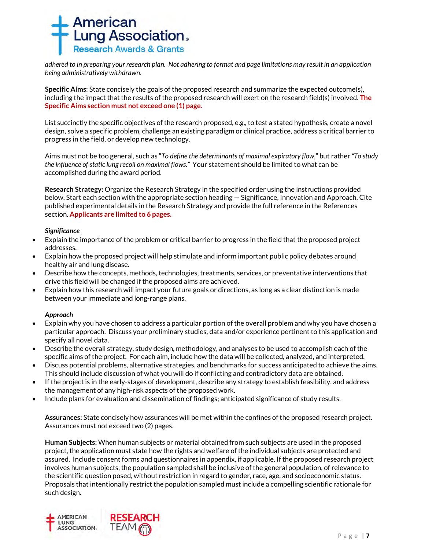

*adhered to in preparing your research plan. Not adhering to format and page limitations may result in an application being administratively withdrawn.*

**Specific Aims**: State concisely the goals of the proposed research and summarize the expected outcome(s), including the impact that the results of the proposed research will exert on the research field(s) involved. **The Specific Aims section must not exceed one (1) page.**

List succinctly the specific objectives of the research proposed, e.g., to test a stated hypothesis, create a novel design, solve a specific problem, challenge an existing paradigm or clinical practice, address a critical barrier to progress in the field, or develop new technology.

Aims must not be too general, such as "*To define the determinants of maximal expiratory flow*," but rather *"To study the influence of static lung recoil on maximal flows."* Your statement should be limited to what can be accomplished during the award period.

**Research Strategy:** Organize the Research Strategy in the specified order using the instructions provided below. Start each section with the appropriate section heading — Significance, Innovation and Approach. Cite published experimental details in the Research Strategy and provide the full reference in the References section. **Applicants are limited to 6 pages.**

## *Significance*

- Explain the importance of the problem or critical barrier to progress in the field that the proposed project addresses.
- Explain how the proposed project will help stimulate and inform important public policy debates around healthy air and lung disease.
- Describe how the concepts, methods, technologies, treatments, services, or preventative interventions that drive this field will be changed if the proposed aims are achieved.
- Explain how this research will impact your future goals or directions, as long as a clear distinction is made between your immediate and long-range plans.

## *Approach*

- Explain why you have chosen to address a particular portion of the overall problem and why you have chosen a particular approach. Discuss your preliminary studies, data and/or experience pertinent to this application and specify all novel data.
- Describe the overall strategy, study design, methodology, and analyses to be used to accomplish each of the specific aims of the project. For each aim, include how the data will be collected, analyzed, and interpreted.
- Discuss potential problems, alternative strategies, and benchmarks for success anticipated to achieve the aims. This should include discussion of what you will do if conflicting and contradictory data are obtained.
- If the project is in the early-stages of development, describe any strategy to establish feasibility, and address the management of any high-risk aspects of the proposed work.
- Include plans for evaluation and dissemination of findings; anticipated significance of study results.

**Assurances:** State concisely how assurances will be met within the confines of the proposed research project. Assurances must not exceed two (2) pages.

**Human Subjects:** When human subjects or material obtained from such subjects are used in the proposed project, the application must state how the rights and welfare of the individual subjects are protected and assured. Include consent forms and questionnaires in appendix, if applicable. If the proposed research project involves human subjects, the population sampled shall be inclusive of the general population, of relevance to the scientific question posed, without restriction in regard to gender, race, age, and socioeconomic status. Proposals that intentionally restrict the population sampled must include a compelling scientific rationale for such design.

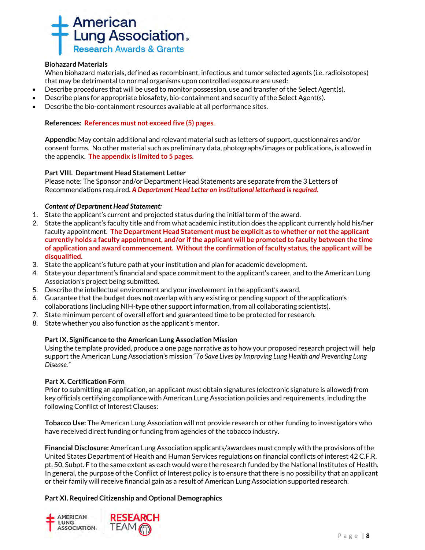

## **Biohazard Materials**

When biohazard materials, defined as recombinant, infectious and tumor selected agents (i.e. radioisotopes) that may be detrimental to normal organisms upon controlled exposure are used:

- Describe procedures that will be used to monitor possession, use and transfer of the Select Agent(s).
- Describe plans for appropriate biosafety, bio-containment and security of the Select Agent(s).
- Describe the bio-containment resources available at all performance sites.

## **References: References must not exceed five (5) pages**.

**Appendix:** May contain additional and relevant material such as letters of support, questionnaires and/or consent forms. No other material such as preliminary data, photographs/images or publications, is allowed in the appendix. **The appendix is limited to 5 pages.**

## **Part VIII. Department Head Statement Letter**

Please note: The Sponsor and/or Department Head Statements are separate from the 3 Letters of Recommendations required**.** *A Department Head Letter on institutional letterhead is required.*

## *Content of Department Head Statement:*

- 1. State the applicant's current and projected status during the initial term of the award.
- 2. State the applicant's faculty title and from what academic institution does the applicant currently hold his/her faculty appointment. **The Department Head Statement must be explicit as to whether or not the applicant currently holds a faculty appointment, and/or if the applicant will be promoted to faculty between the time of application and award commencement. Without the confirmation of faculty status, the applicant will be disqualified.**
- 3. State the applicant's future path at your institution and plan for academic development.
- 4. State your department's financial and space commitment to the applicant's career, and to the American Lung Association's project being submitted.
- 5. Describe the intellectual environment and your involvement in the applicant's award.
- 6. Guarantee that the budget does **not** overlap with any existing or pending support of the application's collaborations (including NIH-type other support information, from all collaborating scientists).
- 7. State minimum percent of overall effort and guaranteed time to be protected for research.
- 8. State whether you also function as the applicant's mentor.

## **Part IX. Significance to the American Lung Association Mission**

Using the template provided, produce a one page narrative as to how your proposed research project will help support the American Lung Association's mission "*To Save Lives by Improving Lung Health and Preventing Lung Disease."* 

## **Part X. Certification Form**

Prior to submitting an application, an applicant must obtain signatures (electronic signature is allowed) from key officials certifying compliance with American Lung Association policies and requirements, including the following Conflict of Interest Clauses:

**Tobacco Use:** The American Lung Association will not provide research or other funding to investigators who have received direct funding or funding from agencies of the tobacco industry.

**Financial Disclosure:** American Lung Association applicants/awardees must comply with the provisions of the United States Department of Health and Human Services regulations on financial conflicts of interest 42 C.F.R. pt. 50, Subpt. F to the same extent as each would were the research funded by the National Institutes of Health. In general, the purpose of the Conflict of Interest policy is to ensure that there is no possibility that an applicant or their family will receive financial gain as a result of American Lung Association supported research.

## **Part XI. Required Citizenship and Optional Demographics**